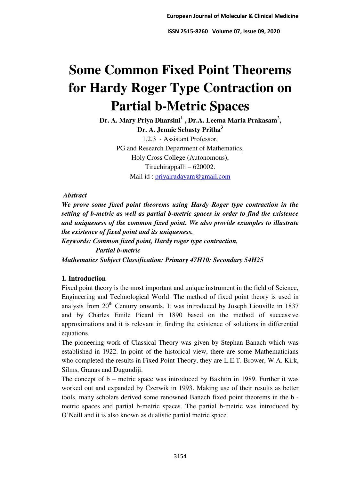# **Some Common Fixed Point Theorems for Hardy Roger Type Contraction on Partial b-Metric Spaces**

**Dr. A. Mary Priya Dharsini<sup>1</sup> , Dr.A. Leema Maria Prakasam<sup>2</sup> , Dr. A. Jennie Sebasty Pritha<sup>3</sup>** 1,2,3 - Assistant Professor, PG and Research Department of Mathematics, Holy Cross College (Autonomous), Tiruchirappalli – 620002.

Mail id : [priyairudayam@gmail.com](mailto:priyairudayam@gmail.com)

## *Abstract*

*We prove some fixed point theorems using Hardy Roger type contraction in the setting of b-metric as well as partial b-metric spaces in order to find the existence and uniqueness of the common fixed point. We also provide examples to illustrate the existence of fixed point and its uniqueness. Keywords: Common fixed point, Hardy roger type contraction,* 

 *Partial b-metric Mathematics Subject Classification: Primary 47H10; Secondary 54H25* 

## **1. Introduction**

Fixed point theory is the most important and unique instrument in the field of Science, Engineering and Technological World. The method of fixed point theory is used in analysis from  $20<sup>th</sup>$  Century onwards. It was introduced by Joseph Liouville in 1837 and by Charles Emile Picard in 1890 based on the method of successive approximations and it is relevant in finding the existence of solutions in differential equations.

The pioneering work of Classical Theory was given by Stephan Banach which was established in 1922. In point of the historical view, there are some Mathematicians who completed the results in Fixed Point Theory, they are L.E.T. Brower, W.A. Kirk, Silms, Granas and Dugundiji.

The concept of b – metric space was introduced by Bakhtin in 1989. Further it was worked out and expanded by Czerwik in 1993. Making use of their results as better tools, many scholars derived some renowned Banach fixed point theorems in the b metric spaces and partial b-metric spaces. The partial b-metric was introduced by O'Neill and it is also known as dualistic partial metric space.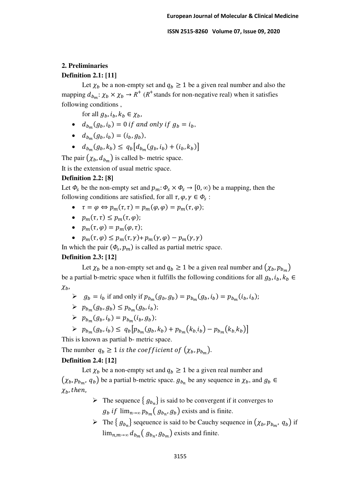# **2. Preliminaries**

## **Definition 2.1: [11]**

Let  $\chi_h$  be a non-empty set and  $q_h \ge 1$  be a given real number and also the mapping  $d_{b_m}: \chi_b \times \chi_b \to R^+$  ( $R^+$ stands for non-negative real) when it satisfies following conditions ,

for all  $g_h, i_h, k_h \in \chi_h$ ,

- $d_{b_m}(g_b, i_b) = 0$  if and only if  $g_b = i_b$ ,
- $d_{b_m}(g_b, i_b) = (i_b, g_b),$
- $d_{b_m}(g_b, k_b) \leq q_b [d_{b_m}(g_b, i_b) + (i_b, k_b)]$

The pair  $(\chi_b, d_{b_m})$  is called b- metric space.

It is the extension of usual metric space.

## **Definition 2.2: [8]**

Let  $\Phi_s$  be the non-empty set and  $p_m: \Phi_s \times \Phi_s \to [0, \infty)$  be a mapping, then the following conditions are satisfied, for all  $\tau$ ,  $\varphi$ ,  $\gamma \in \Phi_s$ :

- $\tau = \varphi \Leftrightarrow p_m(\tau, \tau) = p_m(\varphi, \varphi) = p_m(\tau, \varphi);$
- $p_m(\tau, \tau) \leq p_m(\tau, \varphi);$
- $p_m(\tau, \varphi) = p_m(\varphi, \tau);$
- $p_m(\tau, \varphi) \leq p_m(\tau, \gamma) + p_m(\gamma, \varphi) p_m(\gamma, \gamma)$

In which the pair  $(\Phi_s, p_m)$  is called as partial metric space.

#### **Definition 2.3: [12]**

Let  $\chi_b$  be a non-empty set and  $q_b \ge 1$  be a given real number and  $(\chi_b, p_{b_m})$ be a partial b-metric space when it fulfills the following conditions for all  $g_b$ ,  $i_b$ ,  $k_b \in$  $\chi_b$ ,

- $\triangleright$   $g_b = i_b$  if and only if  $p_{b_m}(g_b, g_b) = p_{b_m}(g_b, i_b) = p_{b_m}(i_b, i_b);$
- $\triangleright \quad p_{b_m}(g_b, g_b) \leq p_{b_m}(g_b, i_b);$
- $\triangleright$   $p_{b_m}(g_b, i_b) = p_{b_m}(i_b, g_b);$
- $\triangleright p_{b_m}(g_b, i_b) \leq q_b[p_{b_m}(g_b, k_b) + p_{b_m}(k_b, i_b) p_{b_m}(k_b, k_b)]$

This is known as partial b- metric space.

The number  $q_b \ge 1$  is the coefficient of  $(\chi_b, p_{b_m})$ .

## **Definition 2.4: [12]**

Let  $\chi_b$  be a non-empty set and  $q_b \ge 1$  be a given real number and  $(\chi_b, p_{b_m}, q_b)$  be a partial b-metric space.  $g_{b_n}$  be any sequence in  $\chi_b$ , and  $g_b \in$  $\chi_h$ , then,

- $\triangleright$  The sequence  $\{g_{b_n}\}\$ is said to be convergent if it converges to  $g_b$  *if*  $\lim_{n\to\infty} p_{b_m}(g_{b_n}, g_b)$  exists and is finite.
- The  $\{g_{b_n}\}\$  sequence is said to be Cauchy sequence in  $(\chi_b, p_{b_m}, q_b)$  if  $\lim_{n,m\to\infty} d_{b_m} (g_{b_n}, g_{b_m})$  exists and finite.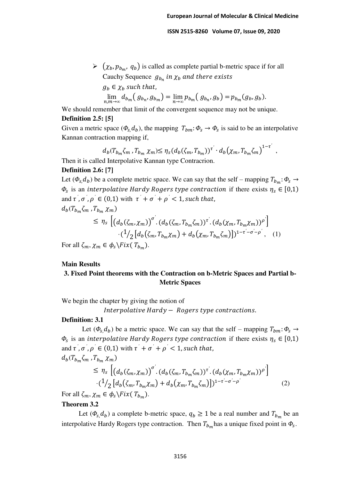$\triangleright (\chi_b, p_{b_m}, q_b)$  is called as complete partial b-metric space if for all Cauchy Sequence  $g_{b_n}$  in  $\chi_b$  and there exists  $g_h \in \chi_h$  such that,  $\lim_{n,m\to\infty}d_{b_m}([g_{b_n},g_{b_m})=\lim_{n\to\infty}p_{b_m}([g_{b_n},g_b])=p_{b_m}(g_b,g_b).$ 

We should remember that limit of the convergent sequence may not be unique. **Definition 2.5: [5]** 

Given a metric space  $(\Phi_{s}, d_{b})$ , the mapping  $T_{bm}: \Phi_{s} \to \Phi_{s}$  is said to be an interpolative Kannan contraction mapping if,

$$
d_b(T_{b_m} \zeta_m, T_{b_m} \chi_m) \leq \eta_s (d_b(\zeta_m, T_{b_m}))^{\tau'} \cdot d_b(\chi_m, T_{b_m} \zeta_m)^{1-\tau'},
$$

Then it is called Interpolative Kannan type Contracrion.

## **Definition 2.6: [7]**

Let  $(\Phi_s, d_b)$  be a complete metric space. We can say that the self – mapping  $T_{b_m}$ :  $\Phi_s \to$  $\Phi_{\rm s}$  is an *interpolative Hardy Rogers type contraction* if there exists  $\eta_s \in [0,1)$ and  $\tau^{\prime}$ ,  $\sigma^{\prime}$ ,  $\rho^{\prime} \in (0,1)$  with  $\tau^{\prime} + \sigma^{\prime} + \rho^{\prime} < 1$ , such that,  $d_b(T_{b_m}\zeta_m$  ,  $T_{b_m}\chi_m)$ *′*

$$
\leq \eta_s \left[ \left( d_b(\zeta_m, \chi_m) \right)^{\sigma} \cdot \left( d_b(\zeta_m, T_{b_m} \zeta_m) \right)^{\tau'} \cdot \left( d_b(\chi_m, T_{b_m} \chi_m) \right)^{\rho'} \right] \cdot \left( \frac{1}{2} \left[ d_b(\zeta_m, T_{b_m} \chi_m) + d_b(\chi_m, T_{b_m} \zeta_m) \right] \right)^{1 - \tau' - \sigma' - \rho'}, \quad (1)
$$

For all  $\zeta_m$ ,  $\chi_m \in \phi_s \backslash Fix(T_{b_m})$ .

#### **Main Results**

## **3. Fixed Point theorems with the Contraction on b-Metric Spaces and Partial b-Metric Spaces**

We begin the chapter by giving the notion of

Interpolative Hardy − Rogers type contractions.

#### **Definition: 3.1**

Let  $(\phi_s, d_h)$  be a metric space. We can say that the self – mapping  $T_{bm}: \phi_s \rightarrow$  $\Phi_{\rm s}$  is an *interpolative Hardy Rogers type contraction* if there exists  $\eta_s \in [0,1)$ and  $\tau^{\prime}$ ,  $\sigma^{\prime}$ ,  $\rho^{\prime} \in (0,1)$  with  $\tau^{\prime} + \sigma^{\prime} + \rho^{\prime} < 1$ , such that,  $d_b(T_{b_m}\zeta_m$  ,  $T_{b_m}\chi_m)$ 

$$
\leq \eta_s \left[ \left( d_b(\zeta_m, \chi_m) \right)^{\sigma'} \left( d_b(\zeta_m, T_{b_m} \zeta_m) \right)^{\tau'} \left( d_b(\chi_m, T_{b_m} \chi_m) \right)^{\rho'} \right] \cdot \left( \frac{1}{2} \left[ d_b(\zeta_m, T_{b_m} \chi_m) + d_b(\chi_m, T_{b_m} \zeta_m) \right] \right)^{1 - \tau' - \sigma' - \rho'} \tag{2}
$$

For all  $\zeta_m$ ,  $\chi_m \in \phi_s \backslash Fix(T_{b_m})$ .

#### **Theorem 3.2**

Let  $(\Phi_s, d_b)$  a complete b-metric space,  $q_b \ge 1$  be a real number and  $T_{b_m}$  be an interpolative Hardy Rogers type contraction. Then  $T_{b_m}$  has a unique fixed point in  $\Phi_s$ .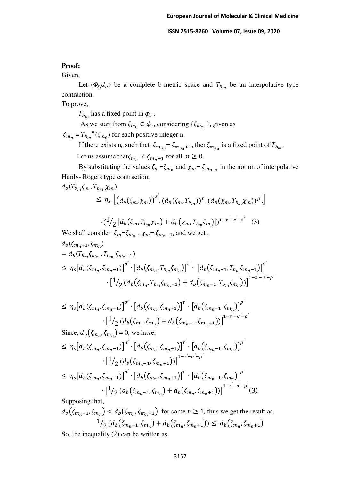#### **Proof:**

Given,

Let  $(\Phi_s, d_b)$  be a complete b-metric space and  $T_{b_m}$  be an interpolative type contraction.

To prove,

 $T_{b_m}$  has a fixed point in  $\phi_s$ .

As we start from  $\zeta_{m_0} \in \phi_s$ , considering  $\{\zeta_{m_n}\}\$ , given as

 $\zeta_{m_n} = T_{b_m}^{\ \ n}(\zeta_{m_0})$  for each positive integer n.

If there exists n<sub>o</sub> such that  $\zeta_{m_{n_0}} = \zeta_{m_{n_0}+1}$ , then $\zeta_{m_{n_0}}$  is a fixed point of  $T_{b_m}$ . Let us assume that  $\zeta_{m_n} \neq \zeta_{m_n+1}$  for all  $n \geq 0$ .

By substituting the values  $\zeta_m = \zeta_{m_n}$  and  $\chi_m = \zeta_{m_{n-1}}$  in the notion of interpolative Hardy- Rogers type contraction,

$$
d_b(T_{b_m}\zeta_m, T_{b_m}\chi_m)
$$
  
\n
$$
\leq \eta_s \left[ \left( d_b(\zeta_m, \chi_m) \right)^{\sigma'} \left( d_b(\zeta_m, T_{b_m}) \right)^{\tau'} \left( d_b(\chi_m, T_{b_m}\chi_m) \right)^{\rho'} \right]
$$

$$
\left[ (1/\sqrt{2} \left[ d_b(\zeta_m, T_{b_m} \chi_m) + d_b(\chi_m, T_{b_m} \zeta_m) \right] \right]^{1-\tau'-\sigma'-\rho'} \tag{3}
$$

We shall consider 
$$
\zeta_m = \zeta_{m_n}
$$
,  $\chi_m = \zeta_{m_{n-1}}$ , and we get,  
\n
$$
d_b(\zeta_{m_n+1}, \zeta_{m_n})
$$
\n
$$
= d_b(T_{b_m}\zeta_{m_n}, T_{b_m}\zeta_{m_{n-1}})
$$
\n
$$
\leq \eta_s [d_b(\zeta_{m_n}, \zeta_{m_{n-1}})]^{\sigma'} \cdot [d_b(\zeta_{m_n}, T_{b_m}\zeta_{m_n})]^{\tau'} \cdot [d_b(\zeta_{m_{n-1}}, T_{b_m}\zeta_{m_{n-1}})]^{\rho'}
$$
\n
$$
\cdot [1/2 (d_b(\zeta_{m_n}, T_{b_m}\zeta_{m_{n-1}}) + d_b(\zeta_{m_{n-1}}, T_{b_m}\zeta_{m_n}))]^{1-\tau'-\sigma'-\rho'}
$$

$$
\leq \eta_s [d_b(\zeta_{m_n}, \zeta_{m_n-1})]^{\sigma} \cdot [d_b(\zeta_{m_n}, \zeta_{m_n+1})]^{\tau'} \cdot [d_b(\zeta_{m_n-1}, \zeta_{m_n})]^{\rho'} \cdot [1/\eta(\zeta_{m_n}, \zeta_{m_n}) + d_b(\zeta_{m_n-1}, \zeta_{m_n+1}))]^{1-\tau'-\sigma'-\rho'}
$$

Since,  $d_b(\zeta_{m_n}, \zeta_{m_n}) = 0$ , we have,

$$
\leq \eta_{s}[d_{b}(\zeta_{m_{n}}, \zeta_{m_{n}-1})]^{\sigma} \cdot [d_{b}(\zeta_{m_{n}}, \zeta_{m_{n}+1})]^{\tau} \cdot [d_{b}(\zeta_{m_{n}-1}, \zeta_{m_{n}})]^{\rho'}\cdot [1/2(d_{b}(\zeta_{m_{n}-1}, \zeta_{m_{n}+1}))]^{1-\tau-\sigma-\rho'}\leq \eta_{s}[d_{b}(\zeta_{m_{n}}, \zeta_{m_{n}-1})]^{\sigma} \cdot [d_{b}(\zeta_{m_{n}}, \zeta_{m_{n}+1})]^{\tau} \cdot [d_{b}(\zeta_{m_{n}-1}, \zeta_{m_{n}})]^{\rho'}
$$

$$
\left[\frac{1}{2}\left(d_b\left(\zeta_{m_n-1},\zeta_{m_n}\right)+d_b\left(\zeta_{m_n},\zeta_{m_n+1}\right)\right)\right]^{1-\tau'-\sigma'-\rho'}(3)
$$

Supposing that,

$$
d_b(\zeta_{m_n-1}, \zeta_{m_n}) < d_b(\zeta_{m_n}, \zeta_{m_n+1}) \text{ for some } n \ge 1 \text{, thus we get the result as,}
$$
\n
$$
\frac{1}{2} \left( d_b(\zeta_{m_n-1}, \zeta_{m_n}) + d_b(\zeta_{m_n}, \zeta_{m_n+1}) \right) \le d_b(\zeta_{m_n}, \zeta_{m_n+1})
$$

So, the inequality (2) can be written as,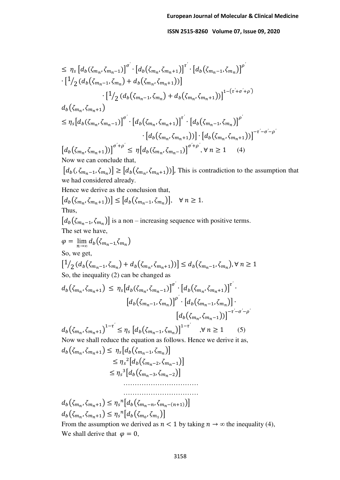$$
\leq \eta_{s} \left[ d_{b}(\zeta_{m_{n}}, \zeta_{m_{n}-1}) \right] ^{\sigma'} \cdot \left[ d_{b}(\zeta_{m_{n}}, \zeta_{m_{n}+1}) \right ] ^{\tau'} \cdot \left[ d_{b}(\zeta_{m_{n}-1}, \zeta_{m_{n}}) \right ] ^{\rho'} \cdot \left[ 1/2 \left( d_{b}(\zeta_{m_{n}-1}, \zeta_{m_{n}}) + d_{b}(\zeta_{m_{n}}, \zeta_{m_{n}+1}) \right) \right] ^{\rho'} \cdot \left[ 1/2 \left( d_{b}(\zeta_{m_{n}-1}, \zeta_{m_{n}}) + d_{b}(\zeta_{m_{n}}, \zeta_{m_{n}+1}) \right) \right ] ^{1-(\tau'+\sigma'+\rho')} \cdot \left[ d_{b}(\zeta_{m_{n}}, \zeta_{m_{n}+1}) \right ] ^{\sigma'} \cdot \left[ d_{b}(\zeta_{m_{n}}, \zeta_{m_{n}+1}) \right ] ^{\rho'} \cdot \left[ d_{b}(\zeta_{m_{n}}, \zeta_{m_{n}+1}) \right ] ^{\rho'} \cdot \left[ d_{b}(\zeta_{m_{n}}, \zeta_{m_{n}+1}) \right ] ^{\rho'} \cdot \left[ d_{b}(\zeta_{m_{n}}, \zeta_{m_{n}+1}) \right ] ^{\rho'} \cdot \left[ d_{b}(\zeta_{m_{n}}, \zeta_{m_{n}+1}) \right ] ^{\rho' + \rho'} \cdot \left[ d_{b}(\zeta_{m_{n}}, \zeta_{m_{n}+1}) \right ] ^{\rho' + \rho'} \cdot \forall n \ge 1 \quad (4)
$$
\nNow we can conclude that,

 $[d_b(\zeta_{m_n-1}, \zeta_{m_n})] \geq [d_b(\zeta_{m_n}, \zeta_{m_n+1}))$ , This is contradiction to the assumption that we had considered already.

Hence we derive as the conclusion that,

$$
[d_b(\zeta_{m_n}, \zeta_{m_n+1}))] \leq [d_b(\zeta_{m_n-1}, \zeta_{m_n})], \quad \forall n \geq 1.
$$
  
Thus,

 $[d_b(\zeta_{m_n-1}, \zeta_{m_n})]$  is a non – increasing sequence with positive terms. The set we have,

$$
\varphi = \lim_{n \to \infty} d_b(\zeta_{m_n-1}, \zeta_{m_n})
$$
  
So, we get,

$$
\left[\frac{1}{2}\left(d_b\left(\zeta_{m_n-1},\zeta_{m_n}\right)+d_b\left(\zeta_{m_n},\zeta_{m_n+1}\right)\right)\right]\leq d_b\left(\zeta_{m_n-1},\zeta_{m_n}\right), \forall n\geq 1
$$
  
So, the inequality (2) can be changed as

$$
d_b(\zeta_{m_n}, \zeta_{m_n+1}) \leq \eta_s [d_b(\zeta_{m_n}, \zeta_{m_n-1})]^{\sigma'} \cdot [d_b(\zeta_{m_n}, \zeta_{m_n+1})]^{\tau'} \cdot [d_b(\zeta_{m_n}, \zeta_{m_n+1})]^{\tau'} \cdot [d_b(\zeta_{m_n-1}, \zeta_{m_n})] \cdot [d_b(\zeta_{m_n}, \zeta_{m_n-1}))]^{-\tau'-\sigma'-\rho'}
$$
  

$$
d_b(\zeta_{m_n}, \zeta_{m_n+1})^{1-\tau'} \leq \eta_s [d_b(\zeta_{m_n-1}, \zeta_{m_n})]^{1-\tau'} \quad , \forall n \geq 1 \quad (5)
$$

Now we shall reduce the equation as follows. Hence we derive it as,  $d_b(\zeta_{m_n}, \zeta_m)$ 

$$
d_b(\zeta_{m_n}, \zeta_{m_n+1}) \leq \eta_s[d_b(\zeta_{m_n-1}, \zeta_{m_n})]
$$
  
\n
$$
\leq \eta_s^2[d_b(\zeta_{m_n-2}, \zeta_{m_n-1})]
$$
  
\n
$$
\leq \eta_s^3[d_b(\zeta_{m_n-3}, \zeta_{m_n-2})]
$$
  
\n.................

$$
d_b(\zeta_{m_n}, \zeta_{m_n+1}) \leq \eta_s^n [d_b(\zeta_{m_n-n}, \zeta_{m_n-(n+1)})]
$$
  

$$
d_b(\zeta_{m_n}, \zeta_{m_n+1}) \leq \eta_s^n [d_b(\zeta_{m_0}, \zeta_{m_1})]
$$

From the assumption we derived as  $n < 1$  by taking  $n \to \infty$  the inequality (4), We shall derive that  $\varphi = 0$ ,

……………………………………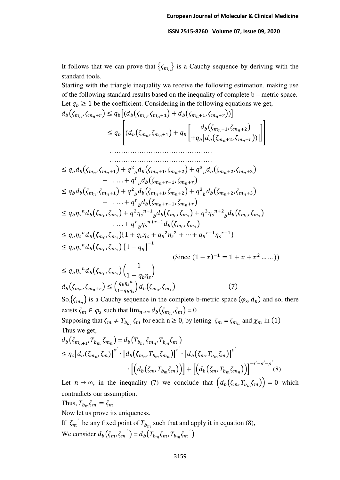It follows that we can prove that  $\{\zeta_{m_n}\}\$ is a Cauchy sequence by deriving with the standard tools.

Starting with the triangle inequality we receive the following estimation, making use of the following standard results based on the inequality of complete b – metric space. Let  $q_b \geq 1$  be the coefficient. Considering in the following equations we get,

$$
d_b(\zeta_{m_n}, \zeta_{m_n+r}) \le q_b[(d_b(\zeta_{m_n}, \zeta_{m_n+1}) + d_b(\zeta_{m_n+1}, \zeta_{m_n+r}))]
$$
  
\n
$$
\le q_b\left[ (d_b(\zeta_{m_n}, \zeta_{m_n+1}) + q_b\left[ \frac{d_b(\zeta_{m_n+1}, \zeta_{m_n+2})}{+q_b[d_b(\zeta_{m_n+2}, \zeta_{m_n+r}))}\right]\right]
$$
  
\n
$$
\dots \dots \dots \dots
$$
  
\n
$$
\dots \dots \dots \dots \dots
$$
  
\n
$$
\le q_b d_b(\zeta_{m_n}, \zeta_{m_n+1}) + q^2_b d_b(\zeta_{m_n+1}, \zeta_{m_n+2}) + q^3_b d_b(\zeta_{m_n+2}, \zeta_{m_n+3})
$$
  
\n
$$
+ \dots + q^r_b d_b(\zeta_{m_n+r-1}, \zeta_{m_n+r})
$$
  
\n
$$
\le q_b d_b(\zeta_{m_n}, \zeta_{m_n+1}) + q^2_b d_b(\zeta_{m_n+1}, \zeta_{m_n+2}) + q^3_b d_b(\zeta_{m_n+2}, \zeta_{m_n+3})
$$
  
\n
$$
+ \dots + q^r_b d_b(\zeta_{m_n+r-1}, \zeta_{m_n+r})
$$
  
\n
$$
\le q_b \eta_s^m d_b(\zeta_{m_0}, \zeta_{m_1}) + q^2 \eta_s^{n+1} b_b(\zeta_{m_0}, \zeta_{m_1}) + q^3 \eta_s^{n+2} b_b(\zeta_{m_0}, \zeta_{m_1})
$$
  
\n
$$
+ \dots + q^r_b \eta_s^{n+r-1} d_b(\zeta_{m_0}, \zeta_{m_1})
$$
  
\n
$$
\le q_b \eta_s^m d_b(\zeta_{m_0}, \zeta_{m_1}) \{1 - q_\eta\}^{-1}
$$
  
\n
$$
\leq 0 \text{ since } (1 - x)^{-1} = 1 + x + x^2 \dots)
$$
)

$$
\leq q_b \eta_s^{\,n} d_b(\zeta_{m_0}, \zeta_{m_1}) \left( \frac{1}{1 - q_b \eta_s} \right) \nd_b(\zeta_{m_n}, \zeta_{m_n + r}) \leq \left( \frac{q_b \eta_s^{\,n}}{1 - q_b \eta_s} \right) d_b(\zeta_{m_0}, \zeta_{m_1})
$$
\n(7)

So,  $\{\zeta_{m_n}\}\$ is a Cauchy sequence in the complete b-metric space  $(\varphi_s, d_b)$  and so, there exists  $\zeta_m \in \varphi_s$  such that  $\lim_{n \to \infty} d_b(\zeta_{m_n}, \zeta_m) = 0$ 

Supposing that  $\zeta_m \neq T_{b_m} \zeta_m$  for each  $n \geq 0$ , by letting  $\zeta_m = \zeta_{m_n}$  and  $\chi_m$  in (1) Thus we get,

$$
d_b(\zeta_{m_{n+1}}, T_{b_m} \zeta_{m_n}) = d_b(T_{b_m} \zeta_{m_n}, T_{b_m} \zeta_m)
$$
  
\n
$$
\leq \eta_s [d_b(\zeta_{m_n}, \zeta_m)]^{\sigma'} \cdot [d_b(\zeta_{m_n}, T_{b_m} \zeta_{m_n})]^{\tau'} \cdot [d_b(\zeta_m, T_{b_m} \zeta_m)]^{\rho'}
$$
  
\n
$$
\cdot [(d_b(\zeta_m, T_{b_m} \zeta_m))] + [(d_b(\zeta_m, T_{b_m} \zeta_{m_n}))]^{\tau' - \sigma' - \rho'}(8)
$$

Let  $n \to \infty$ , in the inequality (7) we conclude that  $(d_b(\zeta_m, T_{b_m}, \zeta_m)) = 0$  which contradicts our assumption.

Thus,  $T_{b_m} \zeta_m = \zeta_m$ 

Now let us prove its uniqueness.

If  $\zeta_m$  be any fixed point of  $T_{b_m}$  such that and apply it in equation (8), We consider  $d_b(\zeta_m, \zeta_m) = d_b(T_{b_m}\zeta_m, T_{b_m}\zeta_m)$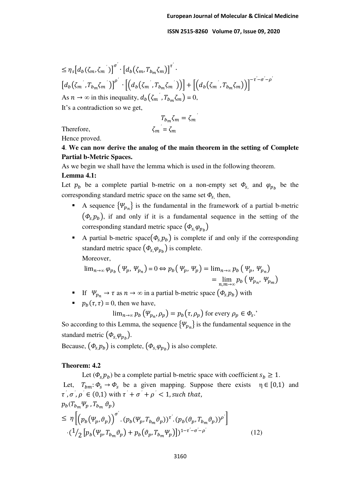$$
\leq \eta_s \big[ d_b(\zeta_m, \zeta_m') \big]^{\sigma'} \cdot \big[ d_b(\zeta_m, T_{b_m} \zeta_m) \big]^{\tau'} \cdot \big[ d_b(\zeta_m', T_{b_m} \zeta_m') \big] + \big[ \big( d_b(\zeta_m', T_{b_m} \zeta_m') \big) \big] + \big[ \big( d_b(\zeta_m', T_{b_m} \zeta_m) \big) \big]^{-\tau' - \sigma' - \rho'}
$$
  
As  $n \to \infty$  in this inequality,  $d_b(\zeta_m', T_{b_m} \zeta_m) = 0$ ,  
It's a contradiction so we get,

 $T_{b_m} \zeta_m = \zeta_m$ <sup>*'*</sup>  $\zeta = \zeta_m$ 

Therefore,

Hence proved.

**4**. **We can now derive the analog of the main theorem in the setting of Complete Partial b-Metric Spaces.** 

As we begin we shall have the lemma which is used in the following theorem.

#### **Lemma 4.1:**

Let  $p_b$  be a complete partial b-metric on a non-empty set  $\Phi_{s}$ , and  $\varphi_{p_b}$  be the corresponding standard metric space on the same set  $\Phi_{s}$ , then,

- A sequence  $\{\Psi_{p_n}\}\$ is the fundamental in the framework of a partial b-metric  $(\phi_{s} p_{b})$ , if and only if it is a fundamental sequence in the setting of the corresponding standard metric space  $(\phi_{s,}\varphi_{p_b})$
- A partial b-metric space $(\Phi_s, p_b)$  is complete if and only if the corresponding standard metric space  $(\Phi_{s,}\varphi_{p_b})$  is complete. Moreover,

$$
\lim_{n \to \infty} \varphi_{p_b} \left( \varphi_p, \varphi_{p_n} \right) = 0 \Leftrightarrow p_b \left( \varphi_p, \varphi_p \right) = \lim_{n \to \infty} p_b \left( \varphi_p, \varphi_{p_n} \right)
$$

$$
= \lim_{n, m \to \infty} p_b \left( \varphi_{p_n}, \varphi_{p_m} \right)
$$

- If  $\Psi_{p_n} \to \tau$  as  $n \to \infty$  in a partial b-metric space  $(\Phi_{s,p_b})$  with
- $\mathbf{p}_b(\tau, \tau) = 0$ , then we have,

 $\lim_{n\to\infty} p_b(\Psi_{p_n}, \rho_p) = p_b(\tau, \rho_p)$  for every  $\rho_p \in \Phi_s$ .

So according to this Lemma, the sequence  $\{\Psi_{p_n}\}\$ is the fundamental sequence in the standard metric  $(\phi_{s,}\varphi_{p_b})$ .

Because,  $(\phi_{s,} p_b)$  is complete,  $(\phi_{s,} \varphi_{p_b})$  is also complete.

#### **Theorem: 4.2**

Let  $(\phi_s, p_b)$  be a complete partial b-metric space with coefficient  $s_b \geq 1$ . Let,  $T_{bm}: \Phi_s \to \Phi_s$  be a given mapping. Suppose there exists  $\eta \in [0,1)$  and  $\tau^{\prime}$ ,  $\sigma^{\prime}$ ,  $\rho^{\prime} \in (0,1)$  with  $\tau^{\prime} + \sigma^{\prime} + \rho^{\prime} < 1$ , such that,  $p_b(T_{b_m}\Psi_p, T_{b_m} \vartheta_p)$ 

$$
\leq \eta \left[ \left( p_b(\Psi_p, \vartheta_p) \right)^{\sigma'} \cdot \left( p_b(\Psi_p, T_{b_m} \vartheta_p) \right)^{\tau'} \cdot \left( p_b(\vartheta_p, T_{b_m} \vartheta_p) \right)^{\rho'} \right] \cdot \left( \frac{1}{2} \left[ p_b(\Psi_p, T_{b_m} \vartheta_p) + p_b(\vartheta_p, T_{b_m} \Psi_p) \right] \right)^{1 - \tau' - \sigma' - \rho'} \tag{12}
$$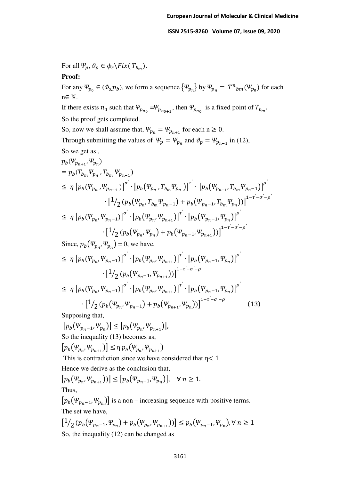For all  $\Psi_p, \vartheta_p \in \phi_s \backslash Fix(T_{b_m}).$ 

## **Proof:**

For any  $\Psi_{p_0} \in (\Phi_{s,p_b})$ , we form a sequence  $\{\Psi_{p_n}\}\$  by  $\Psi_{p_n} = T^n{}_{bm}(\Psi_{p_0})$  for each n∈ ℕ.

If there exists  $n_0$  such that  $\Psi_{p_{n_0}} = \Psi_{p_{n_0+1}}$ , then  $\Psi_{p_{n_0}}$  is a fixed point of  $T_{b_m}$ . So the proof gets completed.

So, now we shall assume that,  $\Psi_{p_n} = \Psi_{p_{n+1}}$  for each  $n \ge 0$ . Through submitting the values of  $\Psi_p = \Psi_{p_n}$  and  $\vartheta_p = \Psi_{p_{n-1}}$  in (12), So we get as ,

$$
p_b(\Psi_{p_{n+1}}, \Psi_{p_n})
$$
  
\n
$$
= p_b(T_{b_m} \Psi_{p_n}, T_{b_m} \Psi_{p_{n-1}})
$$
  
\n
$$
\leq \eta \left[ p_b(\Psi_{p_n}, \Psi_{p_{n-1}}) \right]^{\sigma'} \cdot \left[ p_b(\Psi_{p_n}, T_{b_m} \Psi_{p_n}) \right]^{\tau'} \cdot \left[ p_b(\Psi_{p_{n-1}}, T_{b_m} \Psi_{p_{n-1}}) \right]^{\rho'}
$$
  
\n
$$
\cdot \left[ \frac{1}{2} (p_b(\Psi_{p_n}, T_{b_m} \Psi_{p_{n-1}}) + p_b(\Psi_{p_{n-1}}, T_{b_m} \Psi_{p_n})) \right]^{1-\tau'-\sigma'-\rho'}
$$
  
\n
$$
\leq \eta \left[ p_b(\Psi_{p_n}, \Psi_{p_{n-1}}) \right]^{\sigma'} \cdot \left[ p_b(\Psi_{p_n}, \Psi_{p_{n+1}}) \right]^{\tau'} \cdot \left[ p_b(\Psi_{p_{n-1}}, \Psi_{p_n}) \right]^{\rho'}
$$
  
\n
$$
\cdot \left[ \frac{1}{2} (p_b(\Psi_{p_n}, \Psi_{p_n}) + p_b(\Psi_{p_{n-1}}, \Psi_{p_{n+1}})) \right]^{1-\tau'-\sigma'-\rho'}
$$
  
\nSince,  $p_b(\Psi_{p_n}, \Psi_{p_n}) = 0$ , we have,

$$
\leq \eta \left[ p_b(\Psi_{p_n}, \Psi_{p_{n-1}}) \right]^{\sigma'} \cdot \left[ p_b(\Psi_{p_n}, \Psi_{p_{n+1}}) \right]^{\tau'} \cdot \left[ p_b(\Psi_{p_{n-1}}, \Psi_{p_n}) \right]^{\rho'}
$$
\n
$$
\cdot \left[ 1/2 \left( p_b(\Psi_{p_{n-1}}, \Psi_{p_{n+1}}) \right) \right]^{1-\tau'-\sigma'-\rho'}
$$
\n
$$
\leq \eta \left[ p_b(\Psi_{p_n}, \Psi_{p_{n-1}}) \right]^{\sigma'} \cdot \left[ p_b(\Psi_{p_n}, \Psi_{p_{n+1}}) \right]^{\tau'} \cdot \left[ p_b(\Psi_{p_{n-1}}, \Psi_{p_n}) \right]^{\rho'}
$$

$$
\left[\frac{1}{2}\left(p_b\left(\Psi_{p_n},\Psi_{p_n-1}\right)+p_b\left(\Psi_{p_{n+1}},\Psi_{p_n}\right)\right)\right]^{1-\tau'-\sigma'-\rho'}
$$
(13)

Supposing that,

$$
[p_b(\Psi_{p_n-1}, \Psi_{p_n})] \le [p_b(\Psi_{p_n}, \Psi_{p_{n+1}})],
$$
  
So the inequality (13) becomes as,

 $[p_b(\Psi_{p_n}, \Psi_{p_{n+1}})] \leq \eta p_b(\Psi_{p_n}, \Psi_{p_{n+1}})$ 

This is contradiction since we have considered that  $\eta$  < 1.

Hence we derive as the conclusion that,

$$
[p_b(\Psi_{p_n}, \Psi_{p_{n+1}}))] \le [p_b(\Psi_{p_n-1}, \Psi_{p_n})], \quad \forall \ n \ge 1.
$$
  
Thus,

 $[p_b(\Psi_{p_n-1}, \Psi_{p_n})]$  is a non – increasing sequence with positive terms. The set we have,

$$
\left[\frac{1}{2}(p_b(\Psi_{p_n-1}, \Psi_{p_n}) + p_b(\Psi_{p_n}, \Psi_{p_{n+1}}))\right] \le p_b(\Psi_{p_n-1}, \Psi_{p_n}), \forall n \ge 1
$$
  
So, the inequality (12) can be changed as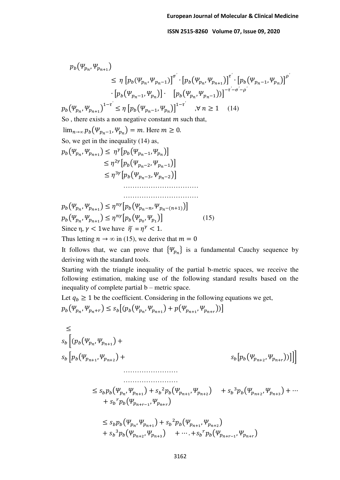$$
p_b(\Psi_{p_n}, \Psi_{p_{n+1}})
$$
\n
$$
\leq \eta \left[ p_b(\Psi_{p_n}, \Psi_{p_{n-1}}) \right]^\sigma \cdot \left[ p_b(\Psi_{p_n}, \Psi_{p_{n+1}}) \right]^\tau \cdot \left[ p_b(\Psi_{p_n}, \Psi_{p_{n-1}}) \Psi_{p_n} \right]
$$
\n
$$
\cdot \left[ p_b(\Psi_{p_n}, \Psi_{p_{n+1}}) \right]^\tau \cdot \left[ p_b(\Psi_{p_n}, \Psi_{p_{n-1}}) \right]^\tau \cdot \left[ p_b(\Psi_{p_n}, \Psi_{p_{n-1}}) \right]^\tau
$$
\n
$$
p_b(\Psi_{p_n}, \Psi_{p_{n+1}})^\tau = \leq \eta \left[ p_b(\Psi_{p_n-1}, \Psi_{p_n}) \right]^\tau \cdot \left[ \mathcal{H} \mathbf{n} \geq 1 \right] \quad (14)
$$
\nSo, there exists a non negative constant  $m$  such that,  
\n
$$
\lim_{n \to \infty} p_b(\Psi_{p_n-1}, \Psi_{p_n}) = m.
$$
 Here  $m \geq 0$ .\nSo, we get in the inequality (14) as,  
\n
$$
p_b(\Psi_{p_n}, \Psi_{p_{n+1}}) \leq \eta^2 \left[ p_b(\Psi_{p_n-1}, \Psi_{p_n}) \right]
$$
\n
$$
\leq \eta^{3\gamma} \left[ p_b(\Psi_{p_n-2}, \Psi_{p_n-2}) \right]
$$
\n
$$
\dots
$$
\n
$$
p_b(\Psi_{p_n}, \Psi_{p_{n+1}}) \leq \eta^{n\gamma} \left[ p_b(\Psi_{p_n-2}, \Psi_{p_n-1}) \right]
$$
\n
$$
p_b(\Psi_{p_n}, \Psi_{p_{n+1}}) \leq \eta^{n\gamma} \left[ p_b(\Psi_{p_n}, \Psi_{p_n}) \right] \quad (15)
$$
\nSince  $\eta, \gamma < 1$  we have  $\tilde{\eta} = \eta^\gamma < 1$ .  
\nThus letting  $n \to \infty$  in (15), we derive that  $m = 0$ .\nIt follows that, we can prove that  $\{\Psi_{p_n}\}$  is a fundamental Cauchy sequence by deriving with the standard tools.  
\nStarting with the triangle inequality of the partial b-metric spaces, we receive the following estimation, making use of the following standard results

$$
p_b(\Psi_{p_n}, \Psi_{p_n+r}) \le s_b [ (p_b(\Psi_{p_n}, \Psi_{p_{n+1}}) + p(\Psi_{p_{n+1}}, \Psi_{p_{n+r}})) ]
$$

$$
\leq
$$
\n
$$
s_{b} \left[ (p_{b}(\Psi_{p_{n}}, \Psi_{p_{n+1}}) + \Psi_{p_{n+2}}) + \cdots + s_{b} \left[ p_{b}(\Psi_{p_{n+1}}, \Psi_{p_{n+2}}) + \cdots + s_{b}^{2} p_{b}(\Psi_{p_{n+1}}, \Psi_{p_{n+2}}) + s_{b}^{3} p_{b}(\Psi_{p_{n+2}}, \Psi_{p_{n+3}}) + \cdots + s_{b}^{2} p_{b}(\Psi_{p_{n+1}}, \Psi_{p_{n+1}}) + s_{b}^{2} p_{b}(\Psi_{p_{n+1}}, \Psi_{p_{n+2}}) + \cdots + s_{b}^{2} p_{b}(\Psi_{p_{n+1}}, \Psi_{p_{n+1}}) + s_{b}^{2} p_{b}(\Psi_{p_{n+1}}, \Psi_{p_{n+2}}) + s_{b}^{3} p_{b}(\Psi_{p_{n+2}}, \Psi_{p_{n+3}}) + \cdots + s_{b}^{2} p_{b}(\Psi_{p_{n+r-1}}, \Psi_{p_{n+r}})
$$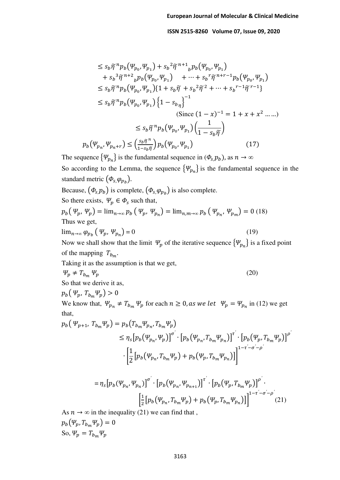$$
\leq s_b \tilde{\eta}^n p_b(\Psi_{p_0}, \Psi_{p_1}) + s_b^2 \tilde{\eta}^{n+1}{}_b p_b(\Psi_{p_0}, \Psi_{p_1}) \n+ s_b^3 \tilde{\eta}^{n+2}{}_b p_b(\Psi_{p_0}, \Psi_{p_1}) + \dots + s_b^r \tilde{\eta}^{n+r-1} p_b(\Psi_{p_0}, \Psi_{p_1}) \n\leq s_b \tilde{\eta}^n p_b(\Psi_{p_0}, \Psi_{p_1}) \{1 + s_b \tilde{\eta} + s_b^2 \tilde{\eta}^2 + \dots + s_b^{r-1} \tilde{\eta}^{r-1}\} \n\leq s_b \tilde{\eta}^n p_b(\Psi_{p_0}, \Psi_{p_1}) \{1 - s_{b_{\eta}}\}^{-1} \n(Since  $(1 - x)^{-1} = 1 + x + x^2 \dots$ )   
\n
$$
\leq s_b \tilde{\eta}^n p_b(\Psi_{p_0}, \Psi_{p_1}) \left(\frac{1}{1 - s_b \tilde{\eta}}\right)
$$
\n
$$
p_b(\Psi_{p_n}, \Psi_{p_n+r}) \leq \left(\frac{s_b \tilde{\eta}^n}{1 - s_b \tilde{\eta}}\right) p_b(\Psi_{p_0}, \Psi_{p_1})
$$
\n(17)
$$

The sequence  $\{\Psi_{p_n}\}\$ is the fundamental sequence in  $(\Phi_s, p_b)$ , as  $n \to \infty$ 

So according to the Lemma, the sequence  $\{\Psi_{p_n}\}\$ is the fundamental sequence in the standard metric  $(\phi_{s,}\varphi_{p_b})$ .

Because,  $(\phi_{s,} p_b)$  is complete,  $(\phi_{s,} \varphi_{p_b})$  is also complete.

So there exists, 
$$
\Psi_p \in \Phi_s
$$
 such that,

$$
p_b(\Psi_p, \Psi_p) = \lim_{n \to \infty} p_b(\Psi_p, \Psi_{p_n}) = \lim_{n, m \to \infty} p_b(\Psi_{p_n}, \Psi_{p_m}) = 0
$$
 (18)  
Thus we get,

$$
\lim_{n \to \infty} \varphi_{p_b} \left( \varphi_p, \varphi_{p_n} \right) = 0 \tag{19}
$$

Now we shall show that the limit  $\Psi_p$  of the iterative sequence  $\{\Psi_{p_n}\}$  is a fixed point of the mapping  $T_{b_m}$ .

Taking it as the assumption is that we get,

$$
\Psi_p \neq T_{b_m} \Psi_p \tag{20}
$$

So that we derive it as,

$$
p_b(\Psi_p, T_{b_m}\Psi_p) > 0
$$

We know that,  $\Psi_{p_n} \neq T_{b_m} \Psi_p$  for each  $n \geq 0$ , as we let  $\Psi_p = \Psi_{p_n}$  in (12) we get that,

$$
p_b(\Psi_{p+1}, T_{b_m} \Psi_p) = p_b(T_{b_m} \Psi_{p_n}, T_{b_m} \Psi_p)
$$
  
\n
$$
\leq \eta_s [p_b(\Psi_{p_n}, \Psi_p)]^{\sigma'} \cdot [p_b(\Psi_{p_n}, T_{b_m} \Psi_{p_n})]^{\tau'} \cdot [p_b(\Psi_p, T_{b_m} \Psi_p)]^{\rho'}
$$
  
\n
$$
\cdot \left[ \frac{1}{2} [p_b(\Psi_{p_n}, T_{b_m} \Psi_p) + p_b(\Psi_p, T_{b_m} \Psi_{p_n})] \right]^{1 - \tau' - \sigma' - \rho'}
$$

$$
= \eta_s \big[ p_b(\Psi_{p_n}, \Psi_{p_n}) \big]^{\sigma'} \cdot \big[ p_b(\Psi_{p_n}, \Psi_{p_{n+1}}) \big]^{\tau'} \cdot \big[ p_b(\Psi_p, T_{b_m} \Psi_p) \big]^{\rho'} \cdot \Big[ \frac{1}{2} \big[ p_b(\Psi_{p_n}, T_{b_m} \Psi_p) + p_b(\Psi_p, T_{b_m} \Psi_{p_n}) \big] \Big]^{1 - \tau' - \sigma' - \rho'} (21)
$$

As  $n \to \infty$  in the inequality (21) we can find that,

$$
p_b(\Psi_p, T_{b_m}\Psi_p) = 0
$$
  
So,  $\Psi_p = T_{b_m}\Psi_p$